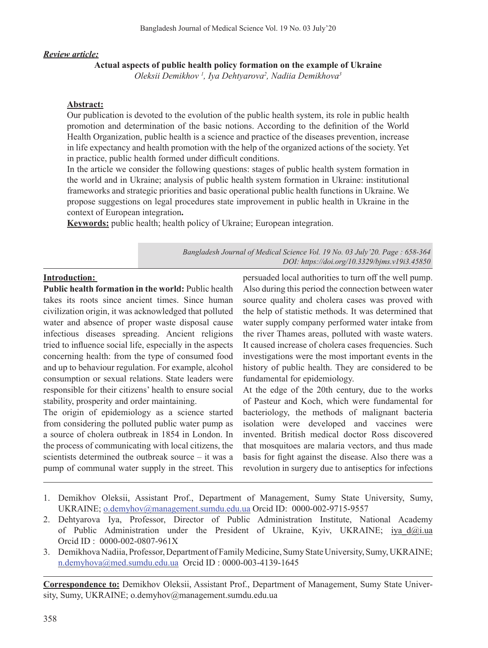## *Review article:*

## **Actual aspects of public health policy formation on the example of Ukraine**

*Oleksii Demikhov 1 , Iya Dehtyarova2 , Nadiia Demikhova3*

## **Abstract:**

Our publication is devoted to the evolution of the public health system, its role in public health promotion and determination of the basic notions. According to the definition of the World Health Organization, public health is a science and practice of the diseases prevention, increase in life expectancy and health promotion with the help of the organized actions of the society. Yet in practice, public health formed under difficult conditions.

In the article we consider the following questions: stages of public health system formation in the world and in Ukraine; analysis of public health system formation in Ukraine: institutional frameworks and strategic priorities and basic operational public health functions in Ukraine. We propose suggestions on legal procedures state improvement in public health in Ukraine in the context of European integration**.** 

**Keywords:** public health; health policy of Ukraine; European integration.

*Bangladesh Journal of Medical Science Vol. 19 No. 03 July'20. Page : 658-364 DOI: https://doi.org/10.3329/bjms.v19i3.45850*

### **Introduction:**

**Public health formation in the world:** Public health takes its roots since ancient times. Since human civilization origin, it was acknowledged that polluted water and absence of proper waste disposal cause infectious diseases spreading. Ancient religions tried to influence social life, especially in the aspects concerning health: from the type of consumed food and up to behaviour regulation. For example, alcohol consumption or sexual relations. State leaders were responsible for their citizens' health to ensure social stability, prosperity and order maintaining.

The origin of epidemiology as a science started from considering the polluted public water pump as a source of cholera outbreak in 1854 in London. In the process of communicating with local citizens, the scientists determined the outbreak source – it was a pump of communal water supply in the street. This

persuaded local authorities to turn off the well pump. Also during this period the connection between water source quality and cholera cases was proved with the help of statistic methods. It was determined that water supply company performed water intake from the river Thames areas, polluted with waste waters. It caused increase of cholera cases frequencies. Such investigations were the most important events in the history of public health. They are considered to be fundamental for epidemiology.

At the edge of the 20th century, due to the works of Pasteur and Koch, which were fundamental for bacteriology, the methods of malignant bacteria isolation were developed and vaccines were invented. British medical doctor Ross discovered that mosquitoes are malaria vectors, and thus made basis for fight against the disease. Also there was a revolution in surgery due to antiseptics for infections

- 1. Demikhov Oleksii, Assistant Prof., Department of Management, Sumy State University, Sumy, UKRAINE; o.demyhov@management.sumdu.edu.ua Orcid ID: 0000-002-9715-9557
- 2. Dehtyarova Iya, Professor, Director of Public Administration Institute, National Academy of Public Administration under the President of Ukraine, Kyiv, UKRAINE; iya d@i.ua Orcid ID : 0000-002-0807-961X
- 3. Demikhova Nadiia, Professor, Department of Family Medicine, Sumy State University, Sumy, UKRAINE; n.demyhova@med.sumdu.edu.ua Orcid ID : 0000-003-4139-1645

**Correspondence to:** Demikhov Oleksii, Assistant Prof., Department of Management, Sumy State University, Sumy, UKRAINE; o.demyhov@management.sumdu.edu.ua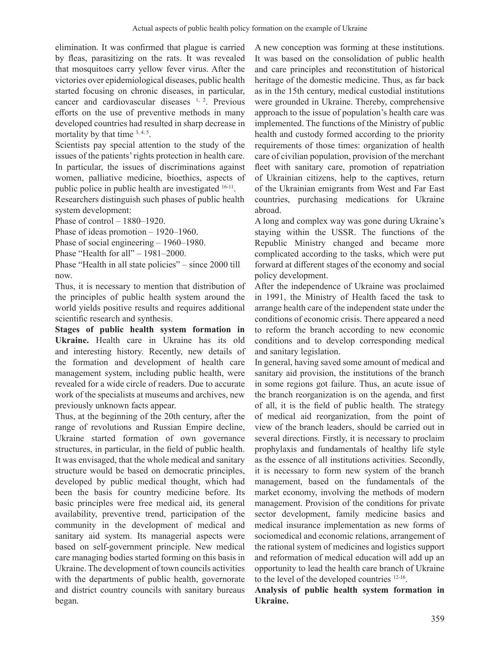elimination. It was confirmed that plague is carried by fleas, parasitizing on the rats. It was revealed that mosquitoes carry yellow fever virus. After the victories over epidemiological diseases, public health started focusing on chronic diseases, in particular, cancer and cardiovascular diseases 1, 2. Previous efforts on the use of preventive methods in many developed countries had resulted in sharp decrease in mortality by that time  $3, 4, 5$ .

Scientists pay special attention to the study of the issues of the patients'rights protection in health care. In particular, the issues of discriminations against women, palliative medicine, bioethics, aspects of public police in public health are investigated <sup>16-11</sup>.

Researchers distinguish such phases of public health system development:

Phase of control - 1880-1920.

Phase of ideas promotion – 1920–1960.

Phase of social engineering – 1960–1980.

Phase "Health for all" – 1981–2000.

Phase "Health in all state policies" – since 2000 till now.

Thus, it is necessary to mention that distribution of the principles of public health system around the world yields positive results and requires additional scientific research and synthesis.

**Stages of public health system formation in Ukraine.** Health care in Ukraine has its old and interesting history. Recently, new details of the formation and development of health care management system, including public health, were revealed for a wide circle of readers. Due to accurate work of the specialists at museums and archives, new previously unknown facts appear.

Thus, at the beginning of the 20th century, after the range of revolutions and Russian Empire decline, Ukraine started formation of own governance structures, in particular, in the field of public health. It was envisaged, that the whole medical and sanitary structure would be based on democratic principles, developed by public medical thought, which had been the basis for country medicine before. Its basic principles were free medical aid, its general availability, preventive trend, participation of the community in the development of medical and sanitary aid system. Its managerial aspects were based on self-government principle. New medical care managing bodies started forming on this basis in Ukraine. The development of town councils activities with the departments of public health, governorate and district country councils with sanitary bureaus began.

A new conception was forming at these institutions. It was based on the consolidation of public health and care principles and reconstitution of historical heritage of the domestic medicine. Thus, as far back as in the 15th century, medical custodial institutions were grounded in Ukraine. Thereby, comprehensive approach to the issue of population's health care was implemented. The functions of the Ministry of public health and custody formed according to the priority requirements of those times: organization of health care of civilian population, provision of the merchant fleet with sanitary care, promotion of repatriation of Ukrainian citizens, help to the captives, return of the Ukrainian emigrants from West and Far East countries, purchasing medications for Ukraine abroad.

A long and complex way was gone during Ukraine's staying within the USSR. The functions of the Republic Ministry changed and became more complicated according to the tasks, which were put forward at different stages of the economy and social policy development.

After the independence of Ukraine was proclaimed in 1991, the Ministry of Health faced the task to arrange health care of the independent state under the conditions of economic crisis. There appeared a need to reform the branch according to new economic conditions and to develop corresponding medical and sanitary legislation.

In general, having saved some amount of medical and sanitary aid provision, the institutions of the branch in some regions got failure. Thus, an acute issue of the branch reorganization is on the agenda, and first of all, it is the field of public health. The strategy of medical aid reorganization, from the point of view of the branch leaders, should be carried out in several directions. Firstly, it is necessary to proclaim prophylaxis and fundamentals of healthy life style as the essence of all institutions activities. Secondly, it is necessary to form new system of the branch management, based on the fundamentals of the market economy, involving the methods of modern management. Provision of the conditions for private sector development, family medicine basics and medical insurance implementation as new forms of sociomedical and economic relations, arrangement of the rational system of medicines and logistics support and reformation of medical education will add up an opportunity to lead the health care branch of Ukraine to the level of the developed countries 12-16.

**Analysis of public health system formation in Ukraine.**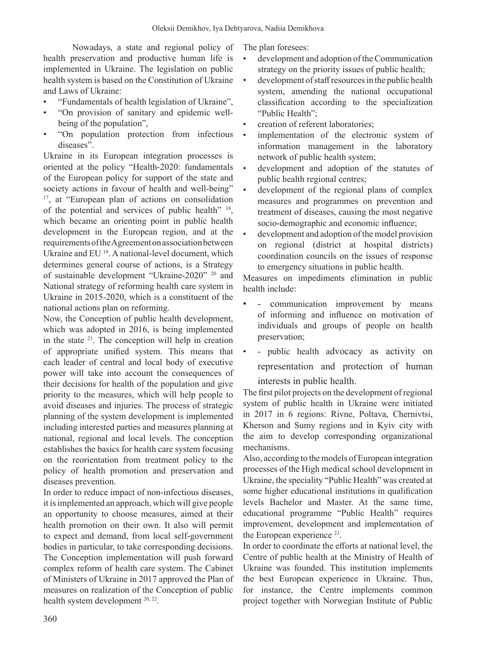Nowadays, a state and regional policy of health preservation and productive human life is implemented in Ukraine. The legislation on public health system is based on the Constitution of Ukraine and Laws of Ukraine:

- "Fundamentals of health legislation of Ukraine",
- "On provision of sanitary and epidemic wellbeing of the population",
- "On population protection from infectious diseases".

Ukraine in its European integration processes is oriented at the policy "Health-2020: fundamentals of the European policy for support of the state and society actions in favour of health and well-being" <sup>17</sup>, at "European plan of actions on consolidation of the potential and services of public health" <sup>18</sup>, which became an orienting point in public health development in the European region, and at the requirementsoftheAgreementonassociationbetween Ukraine and EU<sup>19</sup>. A national-level document, which determines general course of actions, is a Strategy of sustainable development "Ukraine-2020" 20 and National strategy of reforming health care system in Ukraine in 2015-2020, which is a constituent of the national actions plan on reforming.

Now, the Conception of public health development, which was adopted in 2016, is being implemented in the state  $21$ . The conception will help in creation of appropriate unified system. This means that each leader of central and local body of executive power will take into account the consequences of their decisions for health of the population and give priority to the measures, which will help people to avoid diseases and injuries. The process of strategic planning of the system development is implemented including interested parties and measures planning at national, regional and local levels. The conception establishes the basics for health care system focusing on the reorientation from treatment policy to the policy of health promotion and preservation and diseases prevention.

In order to reduce impact of non-infectious diseases, it isimplemented an approach, which will give people an opportunity to choose measures, aimed at their health promotion on their own. It also will permit to expect and demand, from local self-government bodies in particular, to take corresponding decisions. The Conception implementation will push forward complex reform of health care system. The Cabinet of Ministers of Ukraine in 2017 approved the Plan of measures on realization of the Conception of public health system development <sup>20, 22</sup>.

The plan foresees:

- development and adoption of the Communication strategy on the priority issues of public health;
- development ofstaffresourcesin the public health system, amending the national occupational classification according to the specialization "Public Health";
- creation of referent laboratories;
- implementation of the electronic system of information management in the laboratory network of public health system;
- development and adoption of the statutes of public health regional centres;
- development of the regional plans of complex measures and programmes on prevention and treatment of diseases, causing the most negative socio-demographic and economic influence;
- development and adoption of the model provision on regional (district at hospital districts) coordination councils on the issues of response to emergency situations in public health.

Measures on impediments elimination in public health include:

- communication improvement by means of informing and influence on motivation of individuals and groups of people on health preservation;
- - public health advocacy as activity on representation and protection of human interests in public health.

The first pilot projects on the development of regional system of public health in Ukraine were initiated in 2017 in 6 regions: Rivne, Poltava, Chernivtsi, Kherson and Sumy regions and in Kyiv city with the aim to develop corresponding organizational mechanisms.

Also, according to themodels of European integration processes of the High medical school development in Ukraine, the speciality "Public Health" was created at some higher educational institutions in qualification levels Bachelor and Master. At the same time, educational programme "Public Health" requires improvement, development and implementation of the European experience <sup>23</sup>.

In order to coordinate the efforts at national level, the Centre of public health at the Ministry of Health of Ukraine was founded. This institution implements the best European experience in Ukraine. Thus, for instance, the Centre implements common project together with Norwegian Institute of Public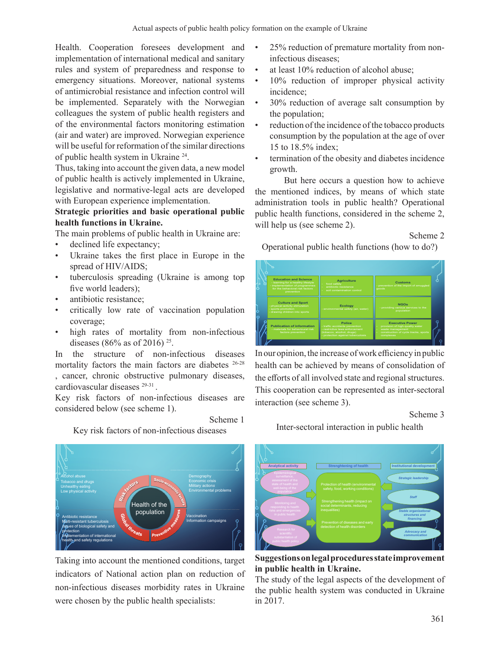Health. Cooperation foresees development and implementation of international medical and sanitary rules and system of preparedness and response to emergency situations. Moreover, national systems of antimicrobial resistance and infection control will be implemented. Separately with the Norwegian colleagues the system of public health registers and of the environmental factors monitoring estimation (air and water) are improved. Norwegian experience will be useful for reformation of the similar directions of public health system in Ukraine 24.

Thus, taking into account the given data, a new model of public health is actively implemented in Ukraine, legislative and normative-legal acts are developed with European experience implementation.

# **Strategic priorities and basic operational public health functions in Ukraine.**

The main problems of public health in Ukraine are:

- declined life expectancy;
- Ukraine takes the first place in Europe in the spread of HIV/AIDS;
- tuberculosis spreading (Ukraine is among top five world leaders);
- antibiotic resistance:
- critically low rate of vaccination population coverage;
- high rates of mortality from non-infectious diseases (86% as of 2016) <sup>25</sup>.

In the structure of non-infectious diseases mortality factors the main factors are diabetes 26-28 , cancer, chronic obstructive pulmonary diseases, cardiovascular diseases 29-31 .

Key risk factors of non-infectious diseases are considered below (see scheme 1).

Scheme 1

Key risk factors of non-infectious diseases



Taking into account the mentioned conditions, target indicators of National action plan on reduction of non-infectious diseases morbidity rates in Ukraine were chosen by the public health specialists:

- 25% reduction of premature mortality from noninfectious diseases;
- at least 10% reduction of alcohol abuse:
- 10% reduction of improper physical activity incidence;
- 30% reduction of average salt consumption by the population;
- reduction of the incidence of the tobacco products consumption by the population at the age of over 15 to 18.5% index;
- termination of the obesity and diabetes incidence growth.

But here occurs a question how to achieve the mentioned indices, by means of which state administration tools in public health? Operational public health functions, considered in the scheme 2, will help us (see scheme 2).

### Scheme 2

Operational public health functions (how to do?)



In our opinion, the increase of work efficiency in public health can be achieved by means of consolidation of the efforts of all involved state and regional structures. This cooperation can be represented as inter-sectoral interaction (see scheme 3).

#### Scheme 3

Inter-sectoral interaction in public health



**Suggestions on legal procedures state improvement in public health in Ukraine.** 

The study of the legal aspects of the development of the public health system was conducted in Ukraine in 2017.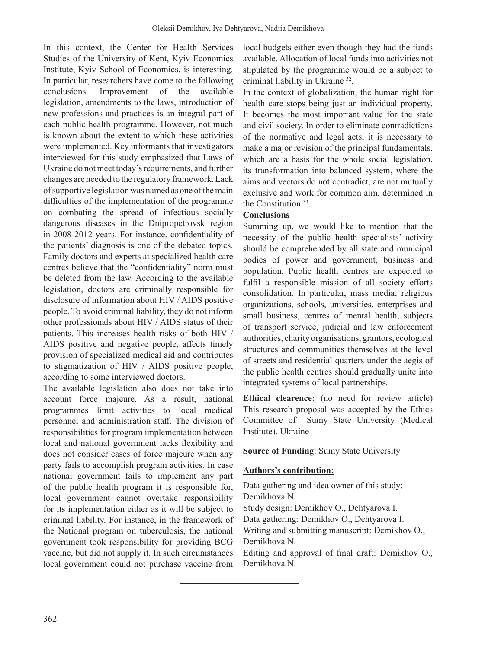In this context, the Center for Health Services Studies of the University of Kent, Kyiv Economics Institute, Kyiv School of Economics, is interesting. In particular, researchers have come to the following conclusions. Improvement of the available legislation, amendments to the laws, introduction of new professions and practices is an integral part of each public health programme. However, not much is known about the extent to which these activities were implemented. Key informants that investigators interviewed for this study emphasized that Laws of Ukraine do not meet today's requirements, and further changes are needed to the regulatory framework.Lack ofsupportive legislationwas named as one ofthemain difficulties of the implementation of the programme on combating the spread of infectious socially dangerous diseases in the Dnipropetrovsk region in 2008-2012 years. For instance, confidentiality of the patients' diagnosis is one of the debated topics. Family doctors and experts at specialized health care centres believe that the "confidentiality" norm must be deleted from the law. According to the available legislation, doctors are criminally responsible for disclosure of information about HIV / AIDS positive people. To avoid criminal liability, they do not inform other professionals about HIV / AIDS status of their patients. This increases health risks of both HIV / AIDS positive and negative people, affects timely provision of specialized medical aid and contributes to stigmatization of HIV / AIDS positive people, according to some interviewed doctors.

The available legislation also does not take into account force majeure. As a result, national programmes limit activities to local medical personnel and administration staff. The division of responsibilities for program implementation between local and national government lacks flexibility and does not consider cases of force majeure when any party fails to accomplish program activities. In case national government fails to implement any part of the public health program it is responsible for, local government cannot overtake responsibility for its implementation either as it will be subject to criminal liability. For instance, in the framework of the National program on tuberculosis, the national government took responsibility for providing BCG vaccine, but did not supply it. In such circumstances local government could not purchase vaccine from

local budgets either even though they had the funds available. Allocation of local funds into activities not stipulated by the programme would be a subject to criminal liability in Ukraine 32.

In the context of globalization, the human right for health care stops being just an individual property. It becomes the most important value for the state and civil society. In order to eliminate contradictions of the normative and legal acts, it is necessary to make a major revision of the principal fundamentals, which are a basis for the whole social legislation, its transformation into balanced system, where the aims and vectors do not contradict, are not mutually exclusive and work for common aim, determined in the Constitution 33.

# **Conclusions**

Summing up, we would like to mention that the necessity of the public health specialists' activity should be comprehended by all state and municipal bodies of power and government, business and population. Public health centres are expected to fulfil a responsible mission of all society efforts consolidation. In particular, mass media, religious organizations, schools, universities, enterprises and small business, centres of mental health, subjects of transport service, judicial and law enforcement authorities, charity organisations, grantors, ecological structures and communities themselves at the level of streets and residential quarters under the aegis of the public health centres should gradually unite into integrated systems of local partnerships.

**Ethical clearence:** (no need for review article) This research proposal was accepted by the Ethics Committee of Sumy State University (Medical Institute), Ukraine

# **Source of Funding**: Sumy State University

# **Authors's contribution:**

Data gathering and idea owner of this study: Demikhova N. Study design: Demikhov O., Dehtyarova I. Data gathering: Demikhov O., Dehtyarova I. Writing and submitting manuscript: Demikhov O., Demikhova N. Editing and approval of final draft: Demikhov O., Demikhova N.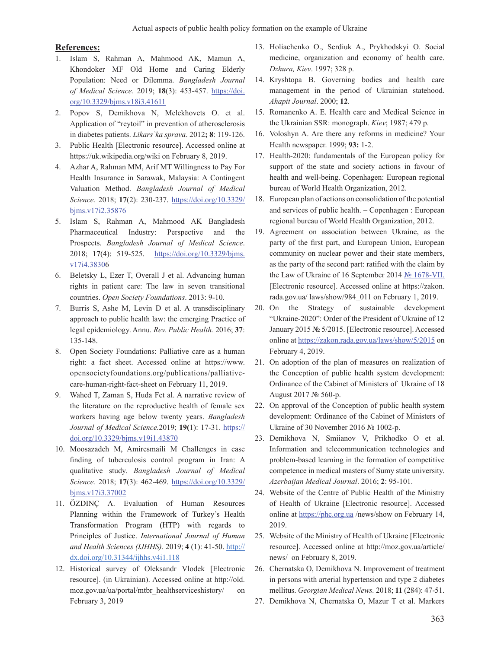#### **References:**

- 1. Islam S, Rahman A, Mahmood AK, Mamun A, Khondoker MF Old Home and Caring Elderly Population: Need or Dilemma. *Bangladesh Journal of Medical Science.* 2019; **18**(3): 453-457. https://doi. org/10.3329/bjms.v18i3.41611
- 2. Popov S, Demikhova N, Melekhovets O. et al. Application of "reytoil" in prevention of atherosclerosis in diabetes patients. *Lіkars`ka sprava*. 2012**; 8**: 119-126.
- 3. Public Health [Electronic resource]. Accessed online at https://uk.wikipedia.org/wiki on February 8, 2019.
- 4. Azhar A, Rahman MM, Arif MT Willingness to Pay For Health Insurance in Sarawak, Malaysia: A Contingent Valuation Method. *Bangladesh Journal of Medical Science.* 2018; **17**(2): 230-237. https://doi.org/10.3329/ bjms.v17i2.35876
- 5. Islam S, Rahman A, Mahmood AK Bangladesh Pharmaceutical Industry: Perspective and the Prospects. *Bangladesh Journal of Medical Science*. 2018; **17**(4): 519-525. https://doi.org/10.3329/bjms. v17i4.38306
- 6. Beletsky L, Ezer T, Overall J et al. Advancing human rights in patient care: The law in seven transitional countries. *Open Society Foundations*. 2013: 9-10.
- 7. Burris S, Ashe M, Levin D et al. A transdisciplinary approach to public health law: the emerging Practice of legal epidemiology. Annu. *Rev. Public Health.* 2016; **37**: 135-148.
- 8. Open Society Foundations: Palliative care as a human right: a fact sheet. Accessed online at https://www. opensocietyfoundations.org/publications/palliativecare-human-right-fact-sheet on February 11, 2019.
- 9. Wahed T, Zaman S, Huda Fet al. A narrative review of the literature on the reproductive health of female sex workers having age below twenty years. *Bangladesh Journal of Medical Science.*2019; **19(**1): 17-31. https:// doi.org/10.3329/bjms.v19i1.43870
- 10. Moosazadeh M, Amiresmaili M Challenges in case finding of tuberculosis control program in Iran: A qualitative study. *Bangladesh Journal of Medical Science.* 2018; **17**(3): 462-469. https://doi.org/10.3329/ bjms.v17i3.37002
- 11. ÖZDINÇ A. Evaluation of Human Resources Planning within the Framework of Turkey's Health Transformation Program (HTP) with regards to Principles of Justice. *International Journal of Human and Health Sciences (IJHHS).* 2019; **4** (1): 41-50. http:// dx.doi.org/10.31344/ijhhs.v4i1.118
- 12. Historical survey of Oleksandr Vlodek [Electronic resource]. (in Ukrainian). Accessed online at http://old. moz.gov.ua/ua/portal/mtbr\_healthserviceshistory/ on February 3, 2019
- 13. Holiachenko O., Serdiuk A., Prykhodskyi O. Social medicine, organization and economy of health care. *Dzhura, Kiev*. 1997; 328 p.
- 14. Kryshtopa B. Governing bodies and health care management in the period of Ukrainian statehood. *Ahapit Journal*. 2000; **12**.
- 15. Romanenko A. E. Health care and Medical Science in the Ukrainian SSR: monograph. *Kiev*; 1987; 479 p.
- 16. Voloshyn A. Are there any reforms in medicine? Your Health newspaper. 1999; **93:** 1-2.
- 17. Health-2020: fundamentals of the European policy for support of the state and society actions in favour of health and well-being. Copenhagen: European regional bureau of World Health Organization, 2012.
- 18. European plan of actions on consolidation of the potential and services of public health. – Copenhagen : European regional bureau of World Health Organization, 2012.
- 19. Agreement on association between Ukraine, as the party of the first part, and European Union, European community on nuclear power and their state members, as the party of the second part: ratified with the сlaim by the Law of Ukraine of 16 September 2014 № 1678-VII. [Electronic resource]. Accessed online at https://zakon. rada.gov.ua/ laws/show/984\_011 on February 1, 2019.
- 20. On the Strategy of sustainable development "Ukraine-2020": Order of the President of Ukraine of 12 January 2015 № 5/2015. [Electronic resource]. Accessed online at https://zakon.rada.gov.ua/laws/show/5/2015 on February 4, 2019.
- 21. On adoption of the plan of measures on realization of the Conception of public health system development: Ordinance of the Cabinet of Ministers of Ukraine of 18 August 2017 № 560-р.
- 22. On approval of the Conception of public health system development: Ordinance of the Cabinet of Ministers of Ukraine of 30 November 2016 № 1002-р.
- 23. Demikhova N, Smiianov V, Prikhodko O et al. Information and telecommunication technologies and problem-based learning in the formation of competitive competence in medical masters of Sumy state university. *Azerbaijan Medical Journal*. 2016; **2**: 95-101.
- 24. Website of the Centre of Public Health of the Ministry of Health of Ukraine [Electronic resource]. Accessed online at https://phc.org.ua /news/show on February 14, 2019.
- 25. Website of the Ministry of Health of Ukraine [Electronic resource]. Accessed online at http://moz.gov.ua/article/ news/ on February 8, 2019.
- 26. Chernatska O, Demikhova N. Improvement of treatment in persons with arterial hypertension and type 2 diabetes mellitus. *Georgian Medical News.* 2018; **11** (284): 47-51.
- 27. Demikhova N, Chernatska O, Mazur T et al. Markers